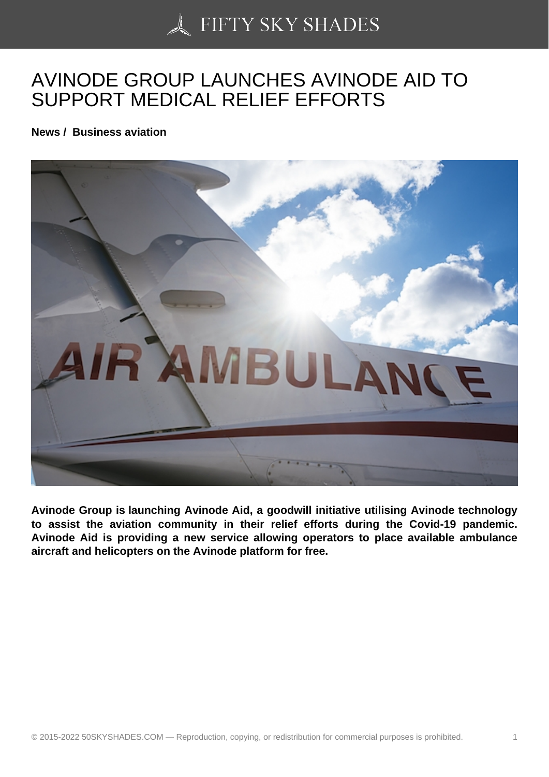## [AVINODE GROUP LAU](https://50skyshades.com)NCHES AVINODE AID TO SUPPORT MEDICAL RELIEF EFFORTS

News / Business aviation

Avinode Group is launching Avinode Aid, a goodwill initiative utilising Avinode technology to assist the aviation community in their relief efforts during the Covid-19 pandemic. Avinode Aid is providing a new service allowing operators to place available ambulance aircraft and helicopters on the Avinode platform for free.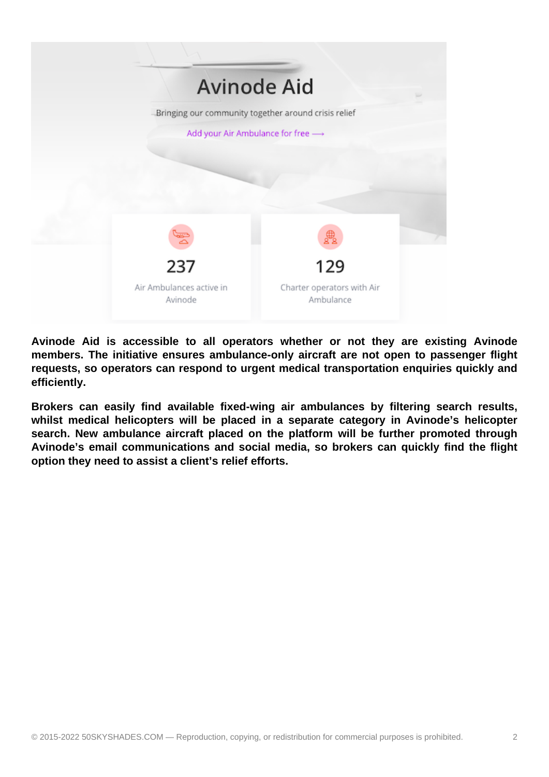

**Avinode Aid is accessible to all operators whether or not they are existing Avinode members. The initiative ensures ambulance-only aircraft are not open to passenger flight requests, so operators can respond to urgent medical transportation enquiries quickly and efficiently.**

**Brokers can easily find available fixed-wing air ambulances by filtering search results,**  whilst medical helicopters will be placed in a separate category in Avinode's helicopter **search. New ambulance aircraft placed on the platform will be further promoted through Avinode's email communications and social media, so brokers can quickly find the flight option they need to assist a client's relief efforts.**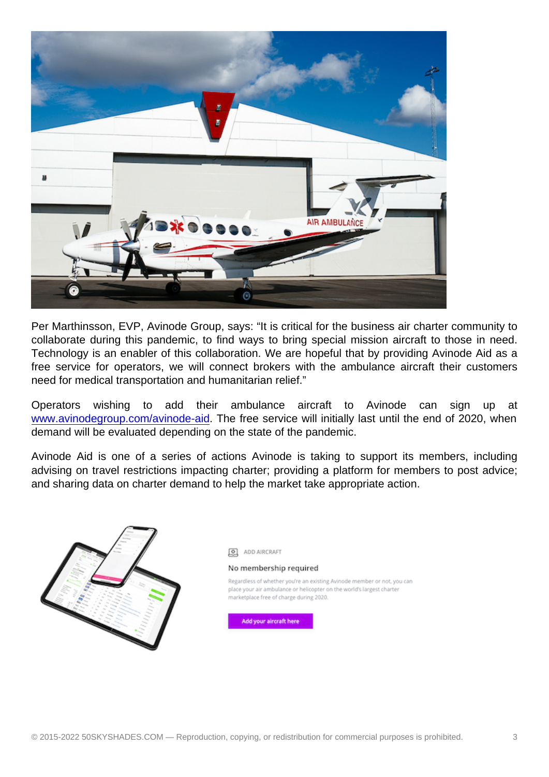Per Marthinsson, EVP, Avinode Group, says: "It is critical for the business air charter community to collaborate during this pandemic, to find ways to bring special mission aircraft to those in need. Technology is an enabler of this collaboration. We are hopeful that by providing Avinode Aid as a free service for operators, we will connect brokers with the ambulance aircraft their customers need for medical transportation and humanitarian relief."

Operators wishing to add their ambulance aircraft to Avinode can sign up at www.avinodegroup.com/avinode-aid. The free service will initially last until the end of 2020, when demand will be evaluated depending on the state of the pandemic.

Avinode Aid is one of a series of actions Avinode is taking to support its members, including [advising on travel restrictions impac](http://74n5c4m7.r.eu-west-1.awstrack.me/L0/http://www.avinodegroup.com/avinode-aid/1/010201719d37912c-ff3b878d-50af-4d93-978a-030ccf1a128e-000000/OsgGJP7vI0lGYI1xenX2pJHSaqE=158)ting charter; providing a platform for members to post advice; and sharing data on charter demand to help the market take appropriate action.